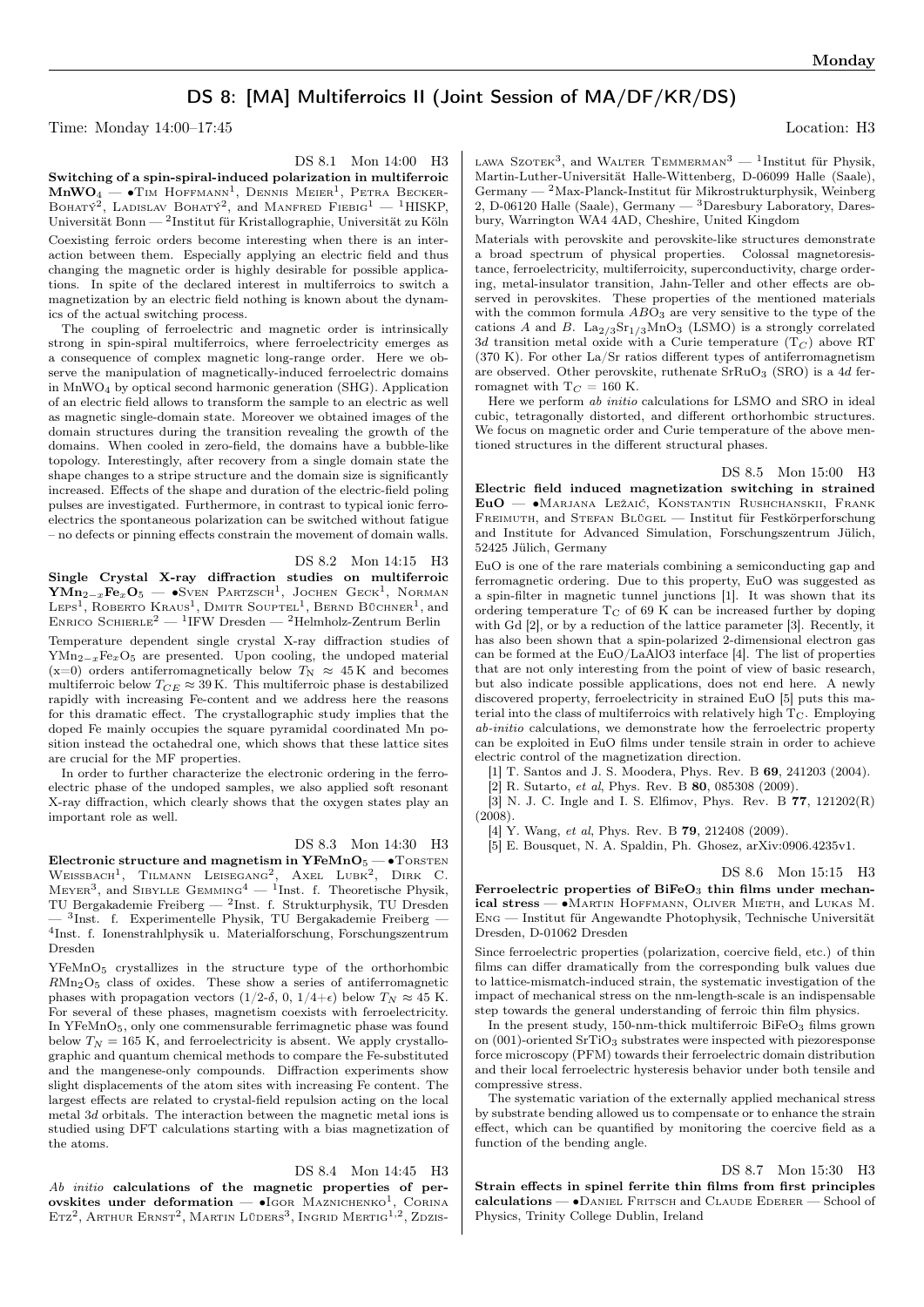## DS 8: [MA] Multiferroics II (Joint Session of MA/DF/KR/DS)

Time: Monday 14:00–17:45 Location: H3

DS 8.1 Mon 14:00 H3

Switching of a spin-spiral-induced polarization in multiferroic  $\text{MnWO}_4$  —  $\bullet$ Tim Hoffmann<sup>1</sup>, Dennis Meier<sup>1</sup>, Petra Becker-BOHATÝ<sup>2</sup>, LADISLAV BOHATÝ<sup>2</sup>, and MANFRED FIEBIG<sup>1</sup> — <sup>1</sup>HISKP, Universität Bonn — <sup>2</sup> Institut für Kristallographie, Universität zu Köln Coexisting ferroic orders become interesting when there is an interaction between them. Especially applying an electric field and thus changing the magnetic order is highly desirable for possible applications. In spite of the declared interest in multiferroics to switch a magnetization by an electric field nothing is known about the dynamics of the actual switching process.

The coupling of ferroelectric and magnetic order is intrinsically strong in spin-spiral multiferroics, where ferroelectricity emerges as a consequence of complex magnetic long-range order. Here we observe the manipulation of magnetically-induced ferroelectric domains in MnWO<sup>4</sup> by optical second harmonic generation (SHG). Application of an electric field allows to transform the sample to an electric as well as magnetic single-domain state. Moreover we obtained images of the domain structures during the transition revealing the growth of the domains. When cooled in zero-field, the domains have a bubble-like topology. Interestingly, after recovery from a single domain state the shape changes to a stripe structure and the domain size is significantly increased. Effects of the shape and duration of the electric-field poling pulses are investigated. Furthermore, in contrast to typical ionic ferroelectrics the spontaneous polarization can be switched without fatigue – no defects or pinning effects constrain the movement of domain walls.

DS 8.2 Mon 14:15 H3 Single Crystal X-ray diffraction studies on multiferroic  $\textbf{YMn}_{2-x}\textbf{Fe}_x\textbf{O}_5$  —  $\bullet$ Sven Partzsch<sup>1</sup>, Jochen Geck<sup>1</sup>, Norman LEPS<sup>1</sup>, ROBERTO KRAUS<sup>1</sup>, DMITR SOUPTEL<sup>1</sup>, BERND BÜCHNER<sup>1</sup>, and ENRICO SCHIERLE<sup>2</sup> — <sup>1</sup>IFW Dresden — <sup>2</sup>Helmholz-Zentrum Berlin

Temperature dependent single crystal X-ray diffraction studies of  $YMn_{2-x}Fe_xO_5$  are presented. Upon cooling, the undoped material (x=0) orders antiferromagnetically below  $T_N \approx 45$  K and becomes multiferroic below  $T_{CE} \approx 39$  K. This multiferroic phase is destabilized rapidly with increasing Fe-content and we address here the reasons for this dramatic effect. The crystallographic study implies that the doped Fe mainly occupies the square pyramidal coordinated Mn position instead the octahedral one, which shows that these lattice sites are crucial for the MF properties.

In order to further characterize the electronic ordering in the ferroelectric phase of the undoped samples, we also applied soft resonant X-ray diffraction, which clearly shows that the oxygen states play an important role as well.

DS 8.3 Mon 14:30 H3

Electronic structure and magnetism in  $YFeMnO<sub>5</sub>$  —  $\bullet$  TORSTEN WEISSBACH<sup>1</sup>, TILMANN LEISEGANG<sup>2</sup>, AXEL LUBK<sup>2</sup>, DIRK C.  $M$ EYER<sup>3</sup>, and SIBYLLE GEMMING<sup>4</sup> — <sup>1</sup>Inst. f. Theoretische Physik, TU Bergakademie Freiberg — <sup>2</sup> Inst. f. Strukturphysik, TU Dresden — <sup>3</sup> Inst. f. Experimentelle Physik, TU Bergakademie Freiberg — 4 Inst. f. Ionenstrahlphysik u. Materialforschung, Forschungszentrum Dresden

YFeMnO<sup>5</sup> crystallizes in the structure type of the orthorhombic  $RMn_2O_5$  class of oxides. These show a series of antiferromagnetic phases with propagation vectors (1/2- $\delta$ , 0, 1/4+ $\epsilon$ ) below  $T_N \approx 45$  K. For several of these phases, magnetism coexists with ferroelectricity. In YFeMnO5, only one commensurable ferrimagnetic phase was found below  $T_N = 165$  K, and ferroelectricity is absent. We apply crystallographic and quantum chemical methods to compare the Fe-substituted and the mangenese-only compounds. Diffraction experiments show slight displacements of the atom sites with increasing Fe content. The largest effects are related to crystal-field repulsion acting on the local metal  $3d$  orbitals. The interaction between the magnetic metal ions is studied using DFT calculations starting with a bias magnetization of the atoms.

DS 8.4 Mon 14:45 H3 Ab initio calculations of the magnetic properties of perovskites under deformation —  $\bullet$ Igor Maznichenko<sup>1</sup>. , Corina Etz<sup>2</sup>, Arthur Ernst<sup>2</sup>, Martin Lüders<sup>3</sup>, Ingrid Mertig<sup>1,2</sup>, Zdzis-

LAWA SZOTEK<sup>3</sup>, and WALTER TEMMERMAN<sup>3</sup> — <sup>1</sup>Institut für Physik, Martin-Luther-Universität Halle-Wittenberg, D-06099 Halle (Saale), Germany —  $^{2}$ Max-Planck-Institut für Mikrostrukturphysik, Weinberg 2, D-06120 Halle (Saale), Germany — <sup>3</sup>Daresbury Laboratory, Daresbury, Warrington WA4 4AD, Cheshire, United Kingdom

Materials with perovskite and perovskite-like structures demonstrate a broad spectrum of physical properties. Colossal magnetoresistance, ferroelectricity, multiferroicity, superconductivity, charge ordering, metal-insulator transition, Jahn-Teller and other effects are observed in perovskites. These properties of the mentioned materials with the common formula  $ABO<sub>3</sub>$  are very sensitive to the type of the cations A and B.  $\text{La}_{2/3}\text{Sr}_{1/3}\text{MnO}_3$  (LSMO) is a strongly correlated 3d transition metal oxide with a Curie temperature  $(T_C)$  above RT (370 K). For other La/Sr ratios different types of antiferromagnetism are observed. Other perovskite, ruthenate  $SrRuO<sub>3</sub>$  (SRO) is a 4d ferromagnet with  $T_C = 160$  K.

Here we perform ab initio calculations for LSMO and SRO in ideal cubic, tetragonally distorted, and different orthorhombic structures. We focus on magnetic order and Curie temperature of the above mentioned structures in the different structural phases.

DS 8.5 Mon 15:00 H3 Electric field induced magnetization switching in strained EuO — ∙Marjana Ležaić, Konstantin Rushchanskii, Frank FREIMUTH, and STEFAN BLÜGEL — Institut für Festkörperforschung and Institute for Advanced Simulation, Forschungszentrum Jülich, 52425 Jülich, Germany

EuO is one of the rare materials combining a semiconducting gap and ferromagnetic ordering. Due to this property, EuO was suggested as a spin-filter in magnetic tunnel junctions [1]. It was shown that its ordering temperature  $T_C$  of 69 K can be increased further by doping with Gd [2], or by a reduction of the lattice parameter [3]. Recently, it has also been shown that a spin-polarized 2-dimensional electron gas can be formed at the EuO/LaAlO3 interface [4]. The list of properties that are not only interesting from the point of view of basic research, but also indicate possible applications, does not end here. A newly discovered property, ferroelectricity in strained EuO [5] puts this material into the class of multiferroics with relatively high  $T_{\rm C}$ . Employing ab-initio calculations, we demonstrate how the ferroelectric property can be exploited in EuO films under tensile strain in order to achieve electric control of the magnetization direction.

[1] T. Santos and J. S. Moodera, Phys. Rev. B 69, 241203 (2004).

[2] R. Sutarto, et al, Phys. Rev. B 80, 085308 (2009). [3] N. J. C. Ingle and I. S. Elfimov, Phys. Rev. B 77, 121202(R) (2008).

[4] Y. Wang, et al, Phys. Rev. B **79**, 212408 (2009).

[5] E. Bousquet, N. A. Spaldin, Ph. Ghosez, arXiv:0906.4235v1.

DS 8.6 Mon 15:15 H3 Ferroelectric properties of  $BiFeO<sub>3</sub>$  thin films under mechanical stress — ∙Martin Hoffmann, Oliver Mieth, and Lukas M. Eng — Institut für Angewandte Photophysik, Technische Universität Dresden, D-01062 Dresden

Since ferroelectric properties (polarization, coercive field, etc.) of thin films can differ dramatically from the corresponding bulk values due to lattice-mismatch-induced strain, the systematic investigation of the impact of mechanical stress on the nm-length-scale is an indispensable step towards the general understanding of ferroic thin film physics.

In the present study, 150-nm-thick multiferroic  $BiFeO<sub>3</sub>$  films grown on (001)-oriented SrTiO<sub>3</sub> substrates were inspected with piezoresponse force microscopy (PFM) towards their ferroelectric domain distribution and their local ferroelectric hysteresis behavior under both tensile and compressive stress.

The systematic variation of the externally applied mechanical stress by substrate bending allowed us to compensate or to enhance the strain effect, which can be quantified by monitoring the coercive field as a function of the bending angle.

DS 8.7 Mon 15:30 H3

Strain effects in spinel ferrite thin films from first principles calculations — ∙Daniel Fritsch and Claude Ederer — School of Physics, Trinity College Dublin, Ireland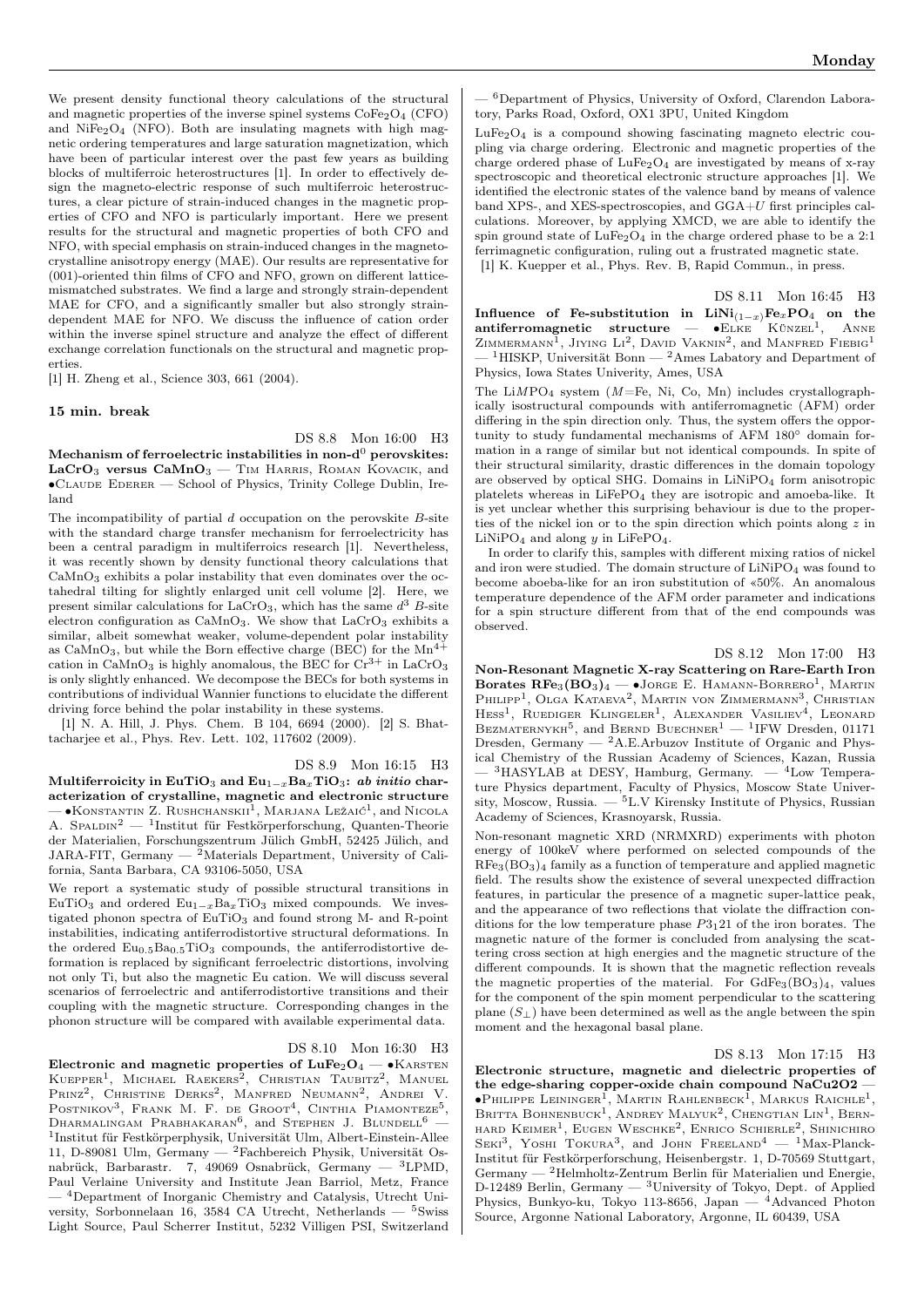We present density functional theory calculations of the structural and magnetic properties of the inverse spinel systems  $\text{CoFe}_2\text{O}_4$  (CFO) and  $NiFe<sub>2</sub>O<sub>4</sub>$  (NFO). Both are insulating magnets with high magnetic ordering temperatures and large saturation magnetization, which have been of particular interest over the past few years as building blocks of multiferroic heterostructures [1]. In order to effectively design the magneto-electric response of such multiferroic heterostructures, a clear picture of strain-induced changes in the magnetic properties of CFO and NFO is particularly important. Here we present results for the structural and magnetic properties of both CFO and NFO, with special emphasis on strain-induced changes in the magnetocrystalline anisotropy energy (MAE). Our results are representative for (001)-oriented thin films of CFO and NFO, grown on different latticemismatched substrates. We find a large and strongly strain-dependent MAE for CFO, and a significantly smaller but also strongly straindependent MAE for NFO. We discuss the influence of cation order within the inverse spinel structure and analyze the effect of different exchange correlation functionals on the structural and magnetic properties.

[1] H. Zheng et al., Science 303, 661 (2004).

## 15 min. break

DS 8.8 Mon 16:00 H3 Mechanism of ferroelectric instabilities in non- $d^0$  perovskites:  $LaCrO<sub>3</sub>$  versus  $CaMnO<sub>3</sub>$  – Tim Harris, ROMAN KOVACIK, and ∙Claude Ederer — School of Physics, Trinity College Dublin, Ireland

The incompatibility of partial  $d$  occupation on the perovskite  $B$ -site with the standard charge transfer mechanism for ferroelectricity has been a central paradigm in multiferroics research [1]. Nevertheless, it was recently shown by density functional theory calculations that  $CaMnO<sub>3</sub>$  exhibits a polar instability that even dominates over the octahedral tilting for slightly enlarged unit cell volume [2]. Here, we present similar calculations for LaCrO<sub>3</sub>, which has the same  $d^3$  B-site electron configuration as  $CaMnO<sub>3</sub>$ . We show that  $LaCrO<sub>3</sub>$  exhibits a similar, albeit somewhat weaker, volume-dependent polar instability as CaMnO<sub>3</sub>, but while the Born effective charge (BEC) for the  $Mn^{4+}$ cation in CaMnO<sub>3</sub> is highly anomalous, the BEC for  $Cr^{3+}$  in LaCrO<sub>3</sub> is only slightly enhanced. We decompose the BECs for both systems in contributions of individual Wannier functions to elucidate the different driving force behind the polar instability in these systems.

[1] N. A. Hill, J. Phys. Chem. B 104, 6694 (2000). [2] S. Bhattacharjee et al., Phys. Rev. Lett. 102, 117602 (2009).

DS 8.9 Mon 16:15 H3

Multiferroicity in EuTiO<sub>3</sub> and Eu<sub>1-x</sub>Ba<sub>x</sub>TiO<sub>3</sub>: ab initio characterization of crystalline, magnetic and electronic structure — •Коnstantin Z. Rushchanskii<sup>1</sup>, Marjana Ležaić<sup>1</sup>, and Nicola A. SPALDIN<sup>2</sup> — <sup>1</sup>Institut für Festkörperforschung, Quanten-Theorie der Materialien, Forschungszentrum Jülich GmbH, 52425 Jülich, and JARA-FIT, Germany  $-\frac{2}{3}$ Materials Department, University of California, Santa Barbara, CA 93106-5050, USA

We report a systematic study of possible structural transitions in EuTiO<sub>3</sub> and ordered Eu<sub>1−x</sub>Ba<sub>x</sub>TiO<sub>3</sub> mixed compounds. We investigated phonon spectra of EuTiO<sub>3</sub> and found strong M- and R-point instabilities, indicating antiferrodistortive structural deformations. In the ordered  $Eu_{0.5}Ba_{0.5}TiO_3$  compounds, the antiferrodistortive deformation is replaced by significant ferroelectric distortions, involving not only Ti, but also the magnetic Eu cation. We will discuss several scenarios of ferroelectric and antiferrodistortive transitions and their coupling with the magnetic structure. Corresponding changes in the phonon structure will be compared with available experimental data.

DS 8.10 Mon 16:30 H3

Electronic and magnetic properties of  $\text{LuFe}_2\text{O}_4$  — •KARSTEN KUEPPER<sup>1</sup>, MICHAEL RAEKERS<sup>2</sup>, CHRISTIAN TAUBITZ<sup>2</sup>, MANUEL Prinz<sup>2</sup>, Christine Derks<sup>2</sup>, Manfred Neumann<sup>2</sup>, Andrei V. Postnikov<sup>3</sup>, Frank M. F. de Groot<sup>4</sup>, Cinthia Piamonteze<sup>5</sup>, Dharmalingam Prabhakaran<sup>6</sup>, and Stephen J. Blundell<sup>6</sup> – 1 Institut für Festkörperphysik, Universität Ulm, Albert-Einstein-Allee 11, D-89081 Ulm, Germany — <sup>2</sup>Fachbereich Physik, Universität Osnabrück, Barbarastr. 7, 49069 Osnabrück, Germany — <sup>3</sup>LPMD, Paul Verlaine University and Institute Jean Barriol, Metz, France — <sup>4</sup>Department of Inorganic Chemistry and Catalysis, Utrecht University, Sorbonnelaan 16, 3584 CA Utrecht, Netherlands  $-$  <sup>5</sup>Swiss Light Source, Paul Scherrer Institut, 5232 Villigen PSI, Switzerland

— <sup>6</sup>Department of Physics, University of Oxford, Clarendon Laboratory, Parks Road, Oxford, OX1 3PU, United Kingdom

 $LuFe<sub>2</sub>O<sub>4</sub>$  is a compound showing fascinating magneto electric coupling via charge ordering. Electronic and magnetic properties of the charge ordered phase of  $LuFe<sub>2</sub>O<sub>4</sub>$  are investigated by means of x-ray spectroscopic and theoretical electronic structure approaches [1]. We identified the electronic states of the valence band by means of valence band XPS-, and XES-spectroscopies, and  $GGA+U$  first principles calculations. Moreover, by applying XMCD, we are able to identify the spin ground state of  $\text{LuFe}_2\text{O}_4$  in the charge ordered phase to be a 2:1 ferrimagnetic configuration, ruling out a frustrated magnetic state. [1] K. Kuepper et al., Phys. Rev. B, Rapid Commun., in press.

DS 8.11 Mon 16:45 H3 Influence of Fe-substitution in  $\text{LiNi}_{(1-x)}\text{Fe}_x\text{PO}_4$  on the antiferromagnetic structure —  $\bullet$ ELKE KÜNZEL<sup>1</sup>, ANNE ZIMMERMANN<sup>1</sup>, JIYING LI<sup>2</sup>, DAVID VAKNIN<sup>2</sup>, and MANFRED FIEBIG<sup>1</sup>  $^{-1}$ HISKP, Universität Bonn — <sup>2</sup>Ames Labatory and Department of Physics, Iowa States Univerity, Ames, USA

The  $LiMPO<sub>4</sub>$  system ( $M=Fe$ , Ni, Co, Mn) includes crystallographically isostructural compounds with antiferromagnetic (AFM) order differing in the spin direction only. Thus, the system offers the opportunity to study fundamental mechanisms of AFM 180<sup>∘</sup> domain formation in a range of similar but not identical compounds. In spite of their structural similarity, drastic differences in the domain topology are observed by optical SHG. Domains in  $LiNiPO<sub>4</sub>$  form anisotropic platelets whereas in LiFePO<sup>4</sup> they are isotropic and amoeba-like. It is yet unclear whether this surprising behaviour is due to the properties of the nickel ion or to the spin direction which points along  $z$  in  $LiNiPO<sub>4</sub>$  and along  $y$  in LiFePO<sub>4</sub>.

In order to clarify this, samples with different mixing ratios of nickel and iron were studied. The domain structure of  $LiNiPO<sub>4</sub>$  was found to become aboeba-like for an iron substitution of «50%. An anomalous temperature dependence of the AFM order parameter and indications for a spin structure different from that of the end compounds was observed.

## DS 8.12 Mon 17:00 H3

Non-Resonant Magnetic X-ray Scattering on Rare-Earth Iron Borates  $\text{RFe}_3(\text{BO}_3)_4 - \bullet \text{Jorge E. HAMANN-BORRERO}^1$ , Martin PHILIPP<sup>1</sup>, Olga Kataeva<sup>2</sup>, Martin von Zimmermann<sup>3</sup>, Christian HESS<sup>1</sup>, RUEDIGER KLINGELER<sup>1</sup>, ALEXANDER VASILIEV<sup>4</sup>, LEONARD BEZMATERNYKH<sup>5</sup>, and BERND BUECHNER<sup>1</sup> — <sup>1</sup>IFW Dresden, 01171 Dresden, Germany  $-{}^{2}$ A.E.Arbuzov Institute of Organic and Physical Chemistry of the Russian Academy of Sciences, Kazan, Russia

— <sup>3</sup>HASYLAB at DESY, Hamburg, Germany. — <sup>4</sup>Low Temperature Physics department, Faculty of Physics, Moscow State University, Moscow, Russia.  $-$ <sup>5</sup>L.V Kirensky Institute of Physics, Russian Academy of Sciences, Krasnoyarsk, Russia.

Non-resonant magnetic XRD (NRMXRD) experiments with photon energy of 100keV where performed on selected compounds of the  $RFe<sub>3</sub>(BO<sub>3</sub>)<sub>4</sub>$  family as a function of temperature and applied magnetic field. The results show the existence of several unexpected diffraction features, in particular the presence of a magnetic super-lattice peak, and the appearance of two reflections that violate the diffraction conditions for the low temperature phase  $P3_121$  of the iron borates. The magnetic nature of the former is concluded from analysing the scattering cross section at high energies and the magnetic structure of the different compounds. It is shown that the magnetic reflection reveals the magnetic properties of the material. For  $GdFe<sub>3</sub>(BO<sub>3</sub>)<sub>4</sub>$ , values for the component of the spin moment perpendicular to the scattering plane  $(S_{\perp})$  have been determined as well as the angle between the spin moment and the hexagonal basal plane.

DS 8.13 Mon 17:15 H3

Electronic structure, magnetic and dielectric properties of the edge-sharing copper-oxide chain compound NaCu2O2 —  $\bullet$ Philippe Leininger<sup>1</sup>, Martin Rahlenbeck<sup>1</sup>, Markus Raichle<sup>1</sup>, Britta Bohnenbuck<sup>1</sup>, Andrey Malyuk<sup>2</sup>, Chengtian Lin<sup>1</sup>, Bernhard Keimer1 , Eugen Weschke<sup>2</sup> , Enrico Schierle<sup>2</sup> , Shinichiro SEKI<sup>3</sup>, YOSHI TOKURA<sup>3</sup>, and JOHN FREELAND<sup>4</sup> - <sup>1</sup>Max-Planck-Institut für Festkörperforschung, Heisenbergstr. 1, D-70569 Stuttgart, Germany — <sup>2</sup>Helmholtz-Zentrum Berlin für Materialien und Energie, D-12489 Berlin, Germany — <sup>3</sup>University of Tokyo, Dept. of Applied Physics, Bunkyo-ku, Tokyo 113-8656, Japan — <sup>4</sup>Advanced Photon Source, Argonne National Laboratory, Argonne, IL 60439, USA